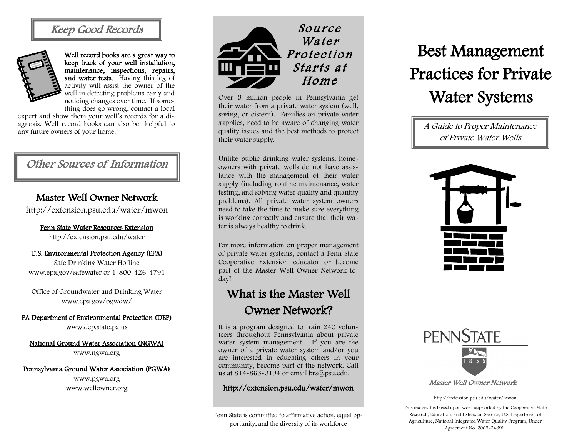# Keep Good Records



Well record books are a great way to keep track of your well installation, maintenance, inspections, repairs, and water tests. Having this log of activity will assist the owner of the well in detecting problems early and noticing changes over time. If something does go wrong, contact a local

expert and show them your well's records for a diagnosis. Well record books can also be helpful to any future owners of your home.

# Other Sources of Information

### Master Well Owner Network

http://extension.psu.edu/water/mwon

# Penn State Water Resources Extension

http://extension.psu.edu/water

#### U.S. Environmental Protection Agency (EPA)

Safe Drinking Water Hotline www.epa.gov/safewater or 1-800-426-4791

Office of Groundwater and Drinking Water www.epa.gov/ogwdw/

#### PA Department of Environmental Protection (DEP)

www.dep.state.pa.us

#### National Ground Water Association (NGWA)

www.ngwa.org

#### Pennsylvania Ground Water Association (PGWA)

www.pgwa.org www.wellowner.org



Over 3 million people in Pennsylvania get their water from a private water system (well, spring, or cistern). Families on private water supplies, need to be aware of changing water quality issues and the best methods to protect their water supply.

Unlike public drinking water systems, homeowners with private wells do not have assistance with the management of their water supply (including routine maintenance, water testing, and solving water quality and quantity problems). All private water system owners need to take the time to make sure everything is working correctly and ensure that their water is always healthy to drink.

For more information on proper management of private water systems, contact a Penn State Cooperative Extension educator or become part of the Master Well Owner Network today!

# What is the Master Well Owner Network?

It is a program designed to train 240 volunteers throughout Pennsylvania about private water system management. If you are the owner of a private water system and/or you are interested in educating others in your community, become part of the network. Call us at 814-863-0194 or email brs@psu.edu.

#### http://extension.psu.edu/water/mwon

Penn State is committed to affirmative action, equal opportunity, and the diversity of its workforce

# Best Management Practices for Private Water Systems

A Guide to Proper Maintenance of Private Water Wells





http://extension.psu.edu/water/mwon

This material is based upon work supported by the Cooperative State Research, Education, and Extension Service, U.S. Department of Agriculture, National Integrated Water Quality Program, Under Agreement No. 2003-04892.